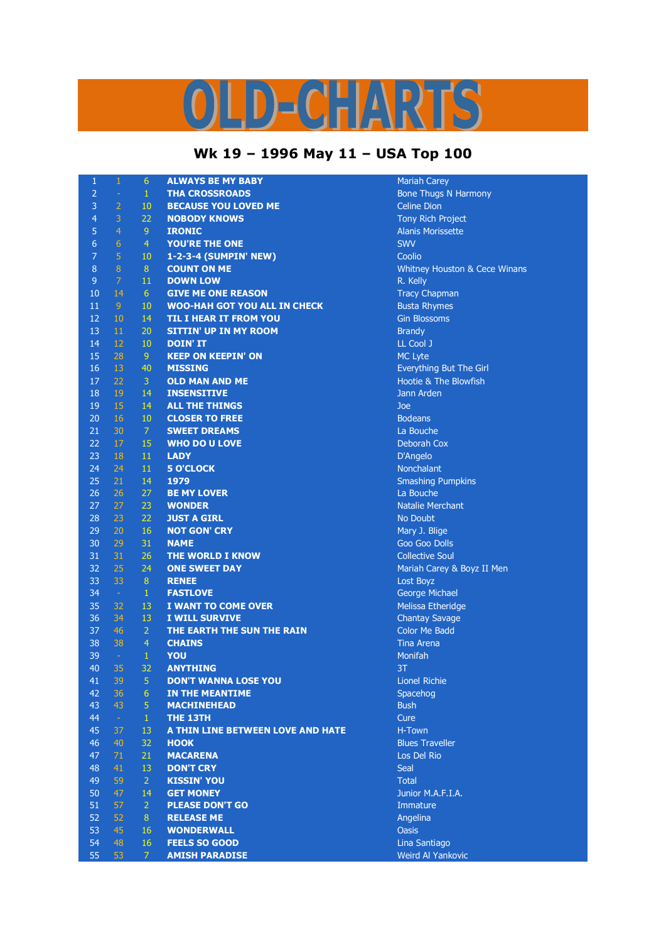## LD-CHARTS

## **Wk 19 – 1996 May 11 – USA Top 100**

| $\mathbf{1}$    | 1               | $6\phantom{.}6$      | <b>ALWAYS BE MY BABY</b>            | <b>Mariah Carey</b>              |
|-----------------|-----------------|----------------------|-------------------------------------|----------------------------------|
| $\overline{2}$  | ÷               | $\mathbf{1}$         | <b>THA CROSSROADS</b>               | <b>Bone Thugs N Harmony</b>      |
| 3               | $\overline{2}$  | 10                   | <b>BECAUSE YOU LOVED ME</b>         | <b>Celine Dion</b>               |
| $\overline{4}$  | 3               | 22                   | <b>NOBODY KNOWS</b>                 | <b>Tony Rich Project</b>         |
| 5               | $\overline{4}$  | $\overline{9}$       | <b>IRONIC</b>                       | <b>Alanis Morissette</b>         |
| $6\phantom{1}6$ | $6\phantom{1}6$ | $\overline{4}$       | <b>YOU'RE THE ONE</b>               | <b>SWV</b>                       |
| $\overline{7}$  | $\overline{5}$  | 10                   | 1-2-3-4 (SUMPIN' NEW)               | Coolio                           |
| $\, 8$          | $\bf 8$         | $\, 8$               | <b>COUNT ON ME</b>                  | Whitney Houston & Cece Winans    |
| $9$             | 7               | 11                   | <b>DOWN LOW</b>                     | R. Kelly                         |
| 10              | 14              | 6                    | <b>GIVE ME ONE REASON</b>           | <b>Tracy Chapman</b>             |
| 11              | 9               | 10                   | <b>WOO-HAH GOT YOU ALL IN CHECK</b> | <b>Busta Rhymes</b>              |
| 12              | 10              | 14                   | <b>TIL I HEAR IT FROM YOU</b>       | <b>Gin Blossoms</b>              |
| 13              | 11              | 20                   | <b>SITTIN' UP IN MY ROOM</b>        | <b>Brandy</b>                    |
| 14              | 12              | 10                   | <b>DOIN' IT</b>                     | LL Cool J                        |
| 15              | 28              | $9\,$                | <b>KEEP ON KEEPIN' ON</b>           | MC Lyte                          |
| 16              | 13              | 40                   | <b>MISSING</b>                      | Everything But The Girl          |
| 17              | 22              | 3                    | <b>OLD MAN AND ME</b>               | <b>Hootie &amp; The Blowfish</b> |
| 18              | 19              | 14                   | <b>INSENSITIVE</b>                  | Jann Arden                       |
| 19              | 15              | 14                   | <b>ALL THE THINGS</b>               | Joe                              |
| 20              | 16              | 10                   | <b>CLOSER TO FREE</b>               | <b>Bodeans</b>                   |
| 21              | 30              | 7                    | <b>SWEET DREAMS</b>                 | La Bouche                        |
| 22              | 17              | 15                   | <b>WHO DO U LOVE</b>                | Deborah Cox                      |
| 23              | 18              | 11                   | <b>LADY</b>                         | D'Angelo                         |
| 24              | 24              | 11                   | <b>5 O'CLOCK</b>                    | Nonchalant                       |
| 25              | 21              | 14                   | 1979                                | <b>Smashing Pumpkins</b>         |
| 26              | 26              | 27                   | <b>BE MY LOVER</b>                  | La Bouche                        |
| 27              | 27              | 23                   | <b>WONDER</b>                       | <b>Natalie Merchant</b>          |
| 28              | 23              | 22                   | <b>JUST A GIRL</b>                  | No Doubt                         |
| 29              | 20              | 16                   | <b>NOT GON' CRY</b>                 | Mary J. Blige                    |
| 30              | 29              | 31                   | <b>NAME</b>                         | Goo Goo Dolls                    |
| 31              | 31              | 26                   | THE WORLD I KNOW                    | <b>Collective Soul</b>           |
| 32              | 25              | 24                   | <b>ONE SWEET DAY</b>                | Mariah Carey & Boyz II Men       |
| 33              | 33              | $\, 8$               | <b>RENEE</b>                        | Lost Boyz                        |
| 34              | $\sim$          | $\mathbf{1}$         | <b>FASTLOVE</b>                     | George Michael                   |
| 35              | 32              | 13                   | I WANT TO COME OVER                 | Melissa Etheridge                |
| 36              | 34              | 13                   | <b>I WILL SURVIVE</b>               | <b>Chantay Savage</b>            |
| 37              | 46              | $\overline{2}$       | THE EARTH THE SUN THE RAIN          | <b>Color Me Badd</b>             |
| 38              | 38              | $\overline{4}$       | <b>CHAINS</b>                       | <b>Tina Arena</b>                |
| 39              | $\sim$          | $\mathbf{1}$         | YOU                                 | Monifah                          |
| 40              | 35              | 32                   | <b>ANYTHING</b>                     | 3T                               |
| 41              | 39              |                      | <b>DON'T WANNA LOSE YOU</b>         | Lionel Richie                    |
| 42              | 36              | 5<br>$6\overline{6}$ | <b>IN THE MEANTIME</b>              | Spacehog                         |
| 43              | 43              | 5                    | <b>MACHINEHEAD</b>                  | <b>Bush</b>                      |
| 44              | $\omega$        | $\mathbf{1}$         | THE 13TH                            | Cure                             |
| 45              | 37              | 13                   | A THIN LINE BETWEEN LOVE AND HATE   | H-Town                           |
| 46              |                 | 32                   |                                     | <b>Blues Traveller</b>           |
| 47              | 40              |                      | <b>HOOK</b><br><b>MACARENA</b>      | Los Del Rio                      |
| 48              | 71<br>41        | 21                   |                                     | <b>Seal</b>                      |
|                 |                 | 13                   | <b>DON'T CRY</b>                    |                                  |
| 49              | 59              | $\overline{2}$       | <b>KISSIN' YOU</b>                  | <b>Total</b>                     |
| 50              | 47              | 14                   | <b>GET MONEY</b>                    | Junior M.A.F.I.A.                |
| 51              | 57              | $\overline{2}$       | <b>PLEASE DON'T GO</b>              | Immature                         |
| 52              | 52              | 8                    | <b>RELEASE ME</b>                   | Angelina                         |
| 53              | 45              | 16                   | <b>WONDERWALL</b>                   | <b>Oasis</b>                     |
| 54              | 48              | 16                   | <b>FEELS SO GOOD</b>                | Lina Santiago                    |
| 55              | 53              | $\overline{7}$       | <b>AMISH PARADISE</b>               | Weird Al Yankovic                |